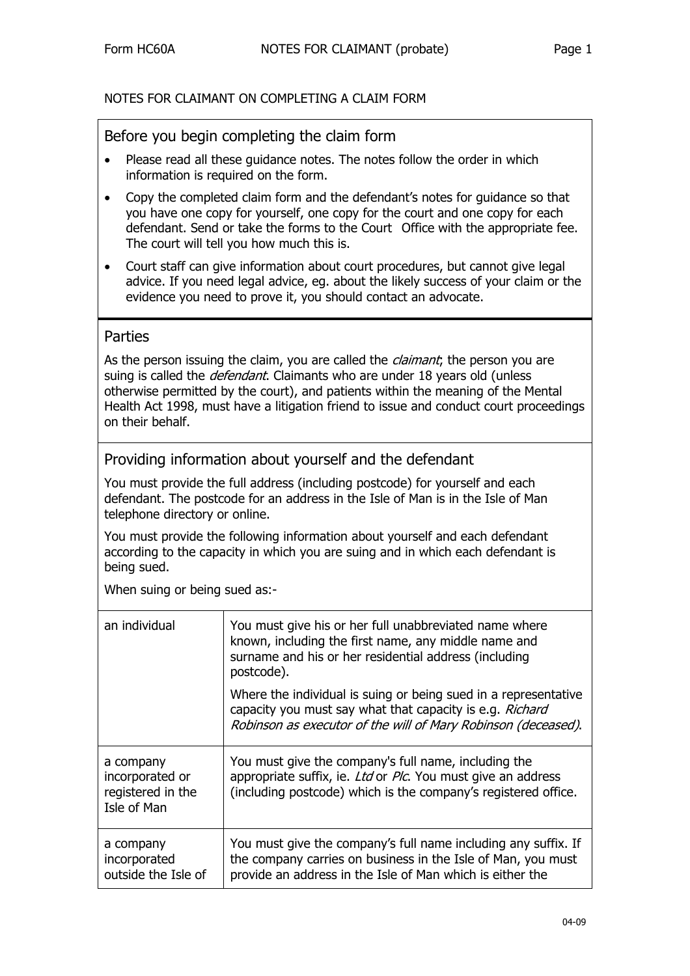# NOTES FOR CLAIMANT ON COMPLETING A CLAIM FORM

# Before you begin completing the claim form

- Please read all these guidance notes. The notes follow the order in which information is required on the form.
- Copy the completed claim form and the defendant's notes for guidance so that you have one copy for yourself, one copy for the court and one copy for each defendant. Send or take the forms to the Court Office with the appropriate fee. The court will tell you how much this is.
- Court staff can give information about court procedures, but cannot give legal advice. If you need legal advice, eg. about the likely success of your claim or the evidence you need to prove it, you should contact an advocate.

# Parties

As the person issuing the claim, you are called the *claimant*; the person you are suing is called the *defendant*. Claimants who are under 18 years old (unless otherwise permitted by the court), and patients within the meaning of the Mental Health Act 1998, must have a litigation friend to issue and conduct court proceedings on their behalf.

# Providing information about yourself and the defendant

You must provide the full address (including postcode) for yourself and each defendant. The postcode for an address in the Isle of Man is in the Isle of Man telephone directory or online.

You must provide the following information about yourself and each defendant according to the capacity in which you are suing and in which each defendant is being sued.

When suing or being sued as:-

| an individual                                                    | You must give his or her full unabbreviated name where<br>known, including the first name, any middle name and<br>surname and his or her residential address (including<br>postcode).        |
|------------------------------------------------------------------|----------------------------------------------------------------------------------------------------------------------------------------------------------------------------------------------|
|                                                                  | Where the individual is suing or being sued in a representative<br>capacity you must say what that capacity is e.g. Richard<br>Robinson as executor of the will of Mary Robinson (deceased). |
| a company<br>incorporated or<br>registered in the<br>Isle of Man | You must give the company's full name, including the<br>appropriate suffix, ie. Ltd or Plc. You must give an address<br>(including postcode) which is the company's registered office.       |
| a company<br>incorporated<br>outside the Isle of                 | You must give the company's full name including any suffix. If<br>the company carries on business in the Isle of Man, you must<br>provide an address in the Isle of Man which is either the  |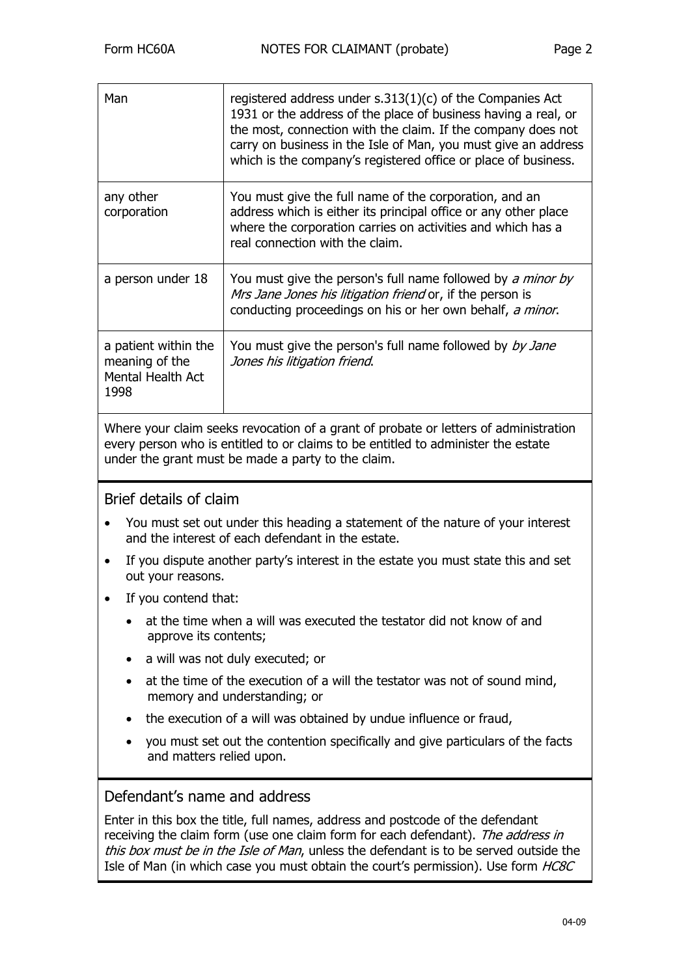| Man                                                                 | registered address under $s.313(1)(c)$ of the Companies Act<br>1931 or the address of the place of business having a real, or<br>the most, connection with the claim. If the company does not<br>carry on business in the Isle of Man, you must give an address<br>which is the company's registered office or place of business. |
|---------------------------------------------------------------------|-----------------------------------------------------------------------------------------------------------------------------------------------------------------------------------------------------------------------------------------------------------------------------------------------------------------------------------|
| any other<br>corporation                                            | You must give the full name of the corporation, and an<br>address which is either its principal office or any other place<br>where the corporation carries on activities and which has a<br>real connection with the claim.                                                                                                       |
| a person under 18                                                   | You must give the person's full name followed by a minor by<br>Mrs Jane Jones his litigation friend or, if the person is<br>conducting proceedings on his or her own behalf, a minor.                                                                                                                                             |
| a patient within the<br>meaning of the<br>Mental Health Act<br>1998 | You must give the person's full name followed by by Jane<br>Jones his litigation friend.                                                                                                                                                                                                                                          |
|                                                                     |                                                                                                                                                                                                                                                                                                                                   |

Where your claim seeks revocation of a grant of probate or letters of administration every person who is entitled to or claims to be entitled to administer the estate under the grant must be made a party to the claim.

# Brief details of claim

- You must set out under this heading a statement of the nature of your interest and the interest of each defendant in the estate.
- If you dispute another party's interest in the estate you must state this and set out your reasons.
- If you contend that:
	- at the time when a will was executed the testator did not know of and approve its contents;
	- a will was not duly executed; or
	- at the time of the execution of a will the testator was not of sound mind, memory and understanding; or
	- the execution of a will was obtained by undue influence or fraud.
	- you must set out the contention specifically and give particulars of the facts and matters relied upon.

# Defendant's name and address

Enter in this box the title, full names, address and postcode of the defendant receiving the claim form (use one claim form for each defendant). The address in this box must be in the Isle of Man, unless the defendant is to be served outside the Isle of Man (in which case you must obtain the court's permission). Use form HC8C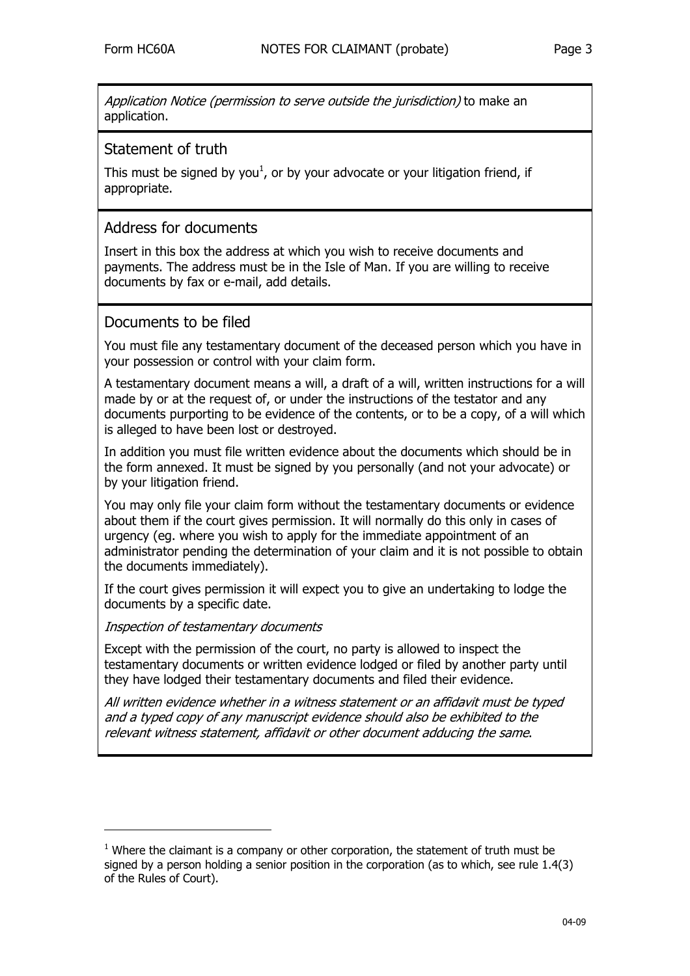Application Notice (permission to serve outside the jurisdiction) to make an application.

# Statement of truth

This must be signed by you<sup>[1](#page-2-0)</sup>, or by your advocate or your litigation friend, if appropriate.

# Address for documents

Insert in this box the address at which you wish to receive documents and payments. The address must be in the Isle of Man. If you are willing to receive documents by fax or e-mail, add details.

# Documents to be filed

You must file any testamentary document of the deceased person which you have in your possession or control with your claim form.

A testamentary document means a will, a draft of a will, written instructions for a will made by or at the request of, or under the instructions of the testator and any documents purporting to be evidence of the contents, or to be a copy, of a will which is alleged to have been lost or destroyed.

In addition you must file written evidence about the documents which should be in the form annexed. It must be signed by you personally (and not your advocate) or by your litigation friend.

You may only file your claim form without the testamentary documents or evidence about them if the court gives permission. It will normally do this only in cases of urgency (eg. where you wish to apply for the immediate appointment of an administrator pending the determination of your claim and it is not possible to obtain the documents immediately).

If the court gives permission it will expect you to give an undertaking to lodge the documents by a specific date.

#### Inspection of testamentary documents

j

Except with the permission of the court, no party is allowed to inspect the testamentary documents or written evidence lodged or filed by another party until they have lodged their testamentary documents and filed their evidence.

All written evidence whether in a witness statement or an affidavit must be typed and a typed copy of any manuscript evidence should also be exhibited to the relevant witness statement, affidavit or other document adducing the same.

<span id="page-2-0"></span> $1$  Where the claimant is a company or other corporation, the statement of truth must be signed by a person holding a senior position in the corporation (as to which, see rule 1.4(3) of the Rules of Court).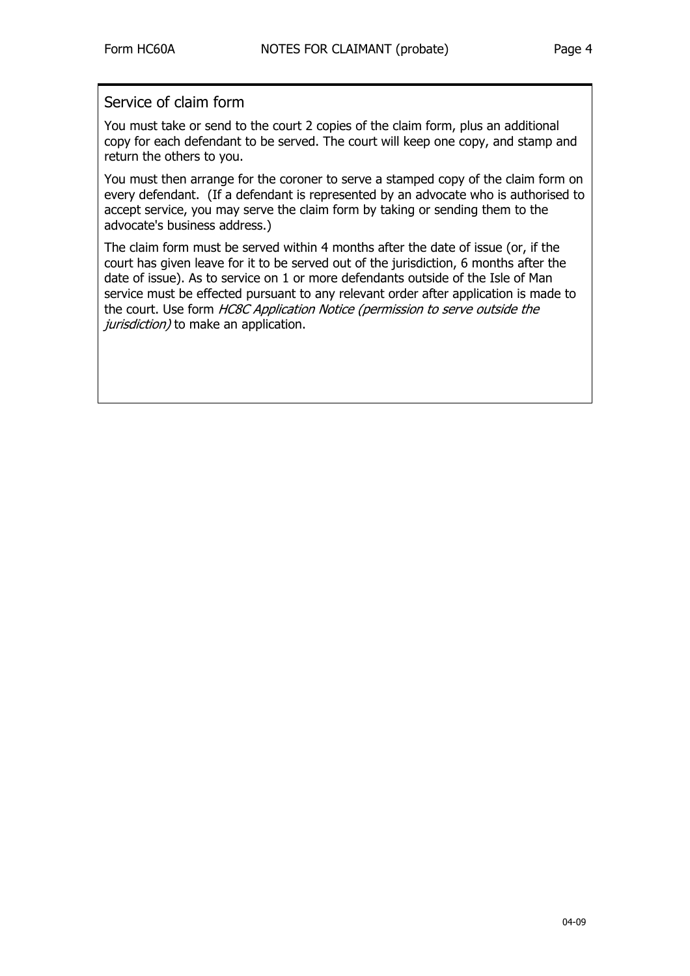# Service of claim form

You must take or send to the court 2 copies of the claim form, plus an additional copy for each defendant to be served. The court will keep one copy, and stamp and return the others to you.

You must then arrange for the coroner to serve a stamped copy of the claim form on every defendant. (If a defendant is represented by an advocate who is authorised to accept service, you may serve the claim form by taking or sending them to the advocate's business address.)

The claim form must be served within 4 months after the date of issue (or, if the court has given leave for it to be served out of the jurisdiction, 6 months after the date of issue). As to service on 1 or more defendants outside of the Isle of Man service must be effected pursuant to any relevant order after application is made to the court. Use form HC8C Application Notice (permission to serve outside the jurisdiction) to make an application.